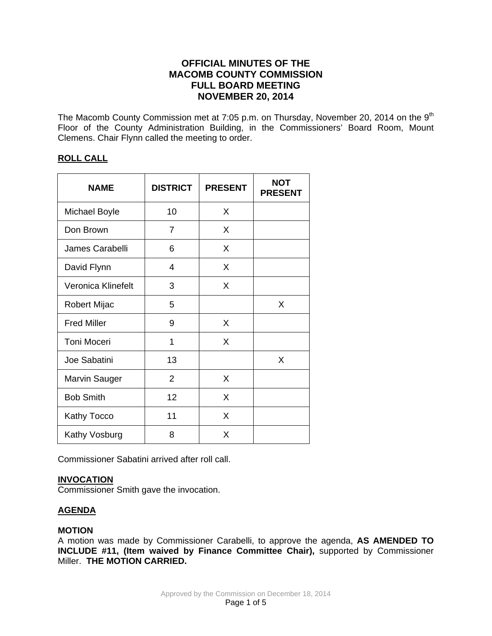# **OFFICIAL MINUTES OF THE MACOMB COUNTY COMMISSION FULL BOARD MEETING NOVEMBER 20, 2014**

The Macomb County Commission met at 7:05 p.m. on Thursday, November 20, 2014 on the 9<sup>th</sup> Floor of the County Administration Building, in the Commissioners' Board Room, Mount Clemens. Chair Flynn called the meeting to order.

# **ROLL CALL**

| <b>NAME</b>          | <b>DISTRICT</b> | <b>PRESENT</b> | <b>NOT</b><br><b>PRESENT</b> |
|----------------------|-----------------|----------------|------------------------------|
| <b>Michael Boyle</b> | 10              | X              |                              |
| Don Brown            | 7               | X              |                              |
| James Carabelli      | 6               | X              |                              |
| David Flynn          | 4               | X              |                              |
| Veronica Klinefelt   | 3               | X              |                              |
| Robert Mijac         | 5               |                | X                            |
| <b>Fred Miller</b>   | 9               | X              |                              |
| <b>Toni Moceri</b>   | 1               | X              |                              |
| Joe Sabatini         | 13              |                | X                            |
| <b>Marvin Sauger</b> | $\overline{2}$  | X              |                              |
| <b>Bob Smith</b>     | 12              | X              |                              |
| Kathy Tocco          | 11              | X              |                              |
| Kathy Vosburg        | 8               | X              |                              |

Commissioner Sabatini arrived after roll call.

# **INVOCATION**

Commissioner Smith gave the invocation.

# **AGENDA**

# **MOTION**

A motion was made by Commissioner Carabelli, to approve the agenda, **AS AMENDED TO INCLUDE #11, (Item waived by Finance Committee Chair),** supported by Commissioner Miller. **THE MOTION CARRIED.**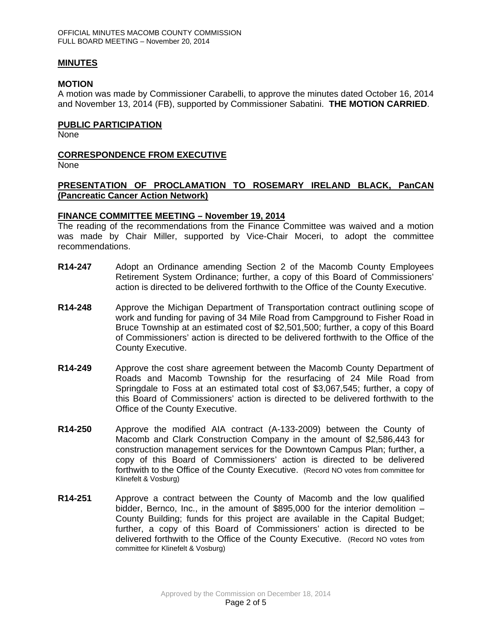## **MINUTES**

## **MOTION**

A motion was made by Commissioner Carabelli, to approve the minutes dated October 16, 2014 and November 13, 2014 (FB), supported by Commissioner Sabatini. **THE MOTION CARRIED**.

## **PUBLIC PARTICIPATION**

None

# **CORRESPONDENCE FROM EXECUTIVE**

None

# **PRESENTATION OF PROCLAMATION TO ROSEMARY IRELAND BLACK, PanCAN (Pancreatic Cancer Action Network)**

# **FINANCE COMMITTEE MEETING – November 19, 2014**

The reading of the recommendations from the Finance Committee was waived and a motion was made by Chair Miller, supported by Vice-Chair Moceri, to adopt the committee recommendations.

- **R14-247** Adopt an Ordinance amending Section 2 of the Macomb County Employees Retirement System Ordinance; further, a copy of this Board of Commissioners' action is directed to be delivered forthwith to the Office of the County Executive.
- **R14-248** Approve the Michigan Department of Transportation contract outlining scope of work and funding for paving of 34 Mile Road from Campground to Fisher Road in Bruce Township at an estimated cost of \$2,501,500; further, a copy of this Board of Commissioners' action is directed to be delivered forthwith to the Office of the County Executive.
- **R14-249** Approve the cost share agreement between the Macomb County Department of Roads and Macomb Township for the resurfacing of 24 Mile Road from Springdale to Foss at an estimated total cost of \$3,067,545; further, a copy of this Board of Commissioners' action is directed to be delivered forthwith to the Office of the County Executive.
- **R14-250** Approve the modified AIA contract (A-133-2009) between the County of Macomb and Clark Construction Company in the amount of \$2,586,443 for construction management services for the Downtown Campus Plan; further, a copy of this Board of Commissioners' action is directed to be delivered forthwith to the Office of the County Executive. (Record NO votes from committee for Klinefelt & Vosburg)
- **R14-251** Approve a contract between the County of Macomb and the low qualified bidder, Bernco, Inc., in the amount of \$895,000 for the interior demolition – County Building; funds for this project are available in the Capital Budget; further, a copy of this Board of Commissioners' action is directed to be delivered forthwith to the Office of the County Executive. (Record NO votes from committee for Klinefelt & Vosburg)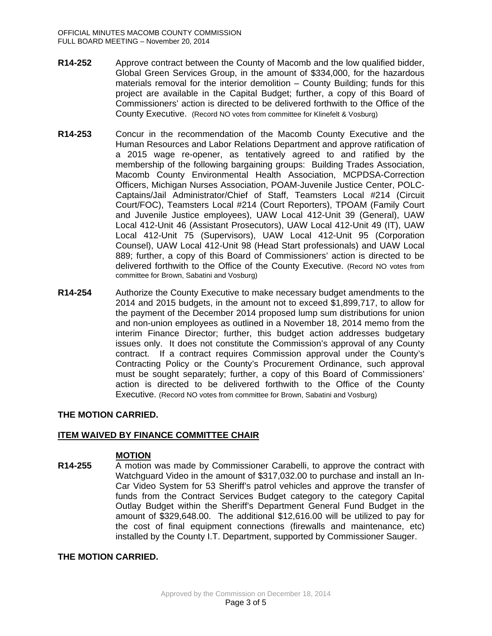- **R14-252** Approve contract between the County of Macomb and the low qualified bidder, Global Green Services Group, in the amount of \$334,000, for the hazardous materials removal for the interior demolition – County Building; funds for this project are available in the Capital Budget; further, a copy of this Board of Commissioners' action is directed to be delivered forthwith to the Office of the County Executive. (Record NO votes from committee for Klinefelt & Vosburg)
- **R14-253** Concur in the recommendation of the Macomb County Executive and the Human Resources and Labor Relations Department and approve ratification of a 2015 wage re-opener, as tentatively agreed to and ratified by the membership of the following bargaining groups: Building Trades Association, Macomb County Environmental Health Association, MCPDSA-Correction Officers, Michigan Nurses Association, POAM-Juvenile Justice Center, POLC-Captains/Jail Administrator/Chief of Staff, Teamsters Local #214 (Circuit Court/FOC), Teamsters Local #214 (Court Reporters), TPOAM (Family Court and Juvenile Justice employees), UAW Local 412-Unit 39 (General), UAW Local 412-Unit 46 (Assistant Prosecutors), UAW Local 412-Unit 49 (IT), UAW Local 412-Unit 75 (Supervisors), UAW Local 412-Unit 95 (Corporation Counsel), UAW Local 412-Unit 98 (Head Start professionals) and UAW Local 889; further, a copy of this Board of Commissioners' action is directed to be delivered forthwith to the Office of the County Executive. (Record NO votes from committee for Brown, Sabatini and Vosburg)
- **R14-254** Authorize the County Executive to make necessary budget amendments to the 2014 and 2015 budgets, in the amount not to exceed \$1,899,717, to allow for the payment of the December 2014 proposed lump sum distributions for union and non-union employees as outlined in a November 18, 2014 memo from the interim Finance Director; further, this budget action addresses budgetary issues only. It does not constitute the Commission's approval of any County contract. If a contract requires Commission approval under the County's Contracting Policy or the County's Procurement Ordinance, such approval must be sought separately; further, a copy of this Board of Commissioners' action is directed to be delivered forthwith to the Office of the County Executive. (Record NO votes from committee for Brown, Sabatini and Vosburg)

# **THE MOTION CARRIED.**

# **ITEM WAIVED BY FINANCE COMMITTEE CHAIR**

# **MOTION**

**R14-255** A motion was made by Commissioner Carabelli, to approve the contract with Watchguard Video in the amount of \$317,032.00 to purchase and install an In-Car Video System for 53 Sheriff's patrol vehicles and approve the transfer of funds from the Contract Services Budget category to the category Capital Outlay Budget within the Sheriff's Department General Fund Budget in the amount of \$329,648.00. The additional \$12,616.00 will be utilized to pay for the cost of final equipment connections (firewalls and maintenance, etc) installed by the County I.T. Department, supported by Commissioner Sauger.

# **THE MOTION CARRIED.**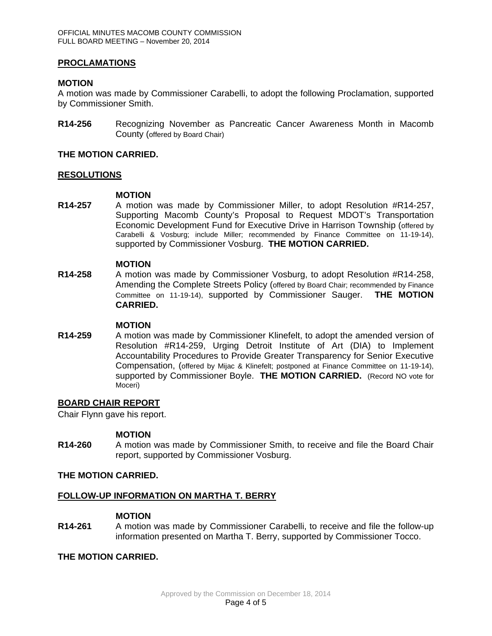# **PROCLAMATIONS**

## **MOTION**

A motion was made by Commissioner Carabelli, to adopt the following Proclamation, supported by Commissioner Smith.

**R14-256** Recognizing November as Pancreatic Cancer Awareness Month in Macomb County (offered by Board Chair)

## **THE MOTION CARRIED.**

# **RESOLUTIONS**

## **MOTION**

**R14-257** A motion was made by Commissioner Miller, to adopt Resolution #R14-257, Supporting Macomb County's Proposal to Request MDOT's Transportation Economic Development Fund for Executive Drive in Harrison Township (offered by Carabelli & Vosburg; include Miller; recommended by Finance Committee on 11-19-14), supported by Commissioner Vosburg. **THE MOTION CARRIED.**

## **MOTION**

**R14-258** A motion was made by Commissioner Vosburg, to adopt Resolution #R14-258, Amending the Complete Streets Policy (offered by Board Chair; recommended by Finance Committee on 11-19-14), supported by Commissioner Sauger. **THE MOTION CARRIED.**

## **MOTION**

**R14-259** A motion was made by Commissioner Klinefelt, to adopt the amended version of Resolution #R14-259, Urging Detroit Institute of Art (DIA) to Implement Accountability Procedures to Provide Greater Transparency for Senior Executive Compensation, (offered by Mijac & Klinefelt; postponed at Finance Committee on 11-19-14), supported by Commissioner Boyle. **THE MOTION CARRIED.** (Record NO vote for Moceri)

## **BOARD CHAIR REPORT**

Chair Flynn gave his report.

## **MOTION**

**R14-260** A motion was made by Commissioner Smith, to receive and file the Board Chair report, supported by Commissioner Vosburg.

## **THE MOTION CARRIED.**

## **FOLLOW-UP INFORMATION ON MARTHA T. BERRY**

#### **MOTION**

**R14-261** A motion was made by Commissioner Carabelli, to receive and file the follow-up information presented on Martha T. Berry, supported by Commissioner Tocco.

# **THE MOTION CARRIED.**